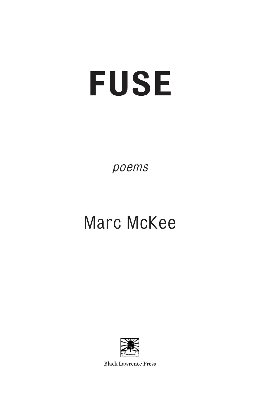# **FUSE**

poems

# Marc McKee



**Black Lawrence Press**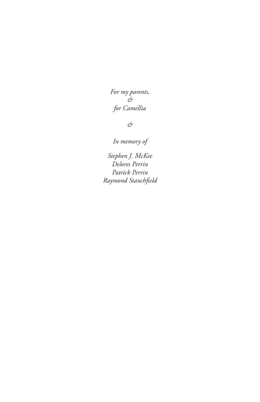*For my parents, & for Camellia*

*&*

*In memory of*

*Stephen J. McKee Delores Perrin Patrick Perrin Raymond Stanchfeld*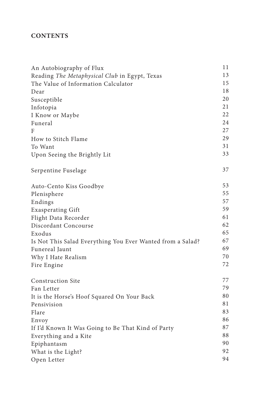## **CONTENTS**

| An Autobiography of Flux                                                                              | 11                               |                              |    |
|-------------------------------------------------------------------------------------------------------|----------------------------------|------------------------------|----|
| Reading The Metaphysical Club in Egypt, Texas                                                         | 13                               |                              |    |
| The Value of Information Calculator<br>Dear<br>Susceptible<br>Infotopia<br>I Know or Maybe<br>Funeral | 15<br>18<br>20<br>21<br>22<br>24 |                              |    |
|                                                                                                       |                                  | F                            | 27 |
|                                                                                                       |                                  | How to Stitch Flame          | 29 |
|                                                                                                       |                                  | To Want                      | 31 |
|                                                                                                       |                                  | Upon Seeing the Brightly Lit | 33 |
|                                                                                                       |                                  | Serpentine Fuselage          | 37 |
| Auto-Cento Kiss Goodbye                                                                               | 53                               |                              |    |
| Plenisphere                                                                                           | 55                               |                              |    |
| Endings                                                                                               | 57                               |                              |    |
| <b>Exasperating Gift</b>                                                                              | 59                               |                              |    |
| Flight Data Recorder                                                                                  | 61                               |                              |    |
| Discordant Concourse                                                                                  | 62                               |                              |    |
| Exodus                                                                                                | 65                               |                              |    |
| Is Not This Salad Everything You Ever Wanted from a Salad?                                            | 67                               |                              |    |
| Funereal Jaunt                                                                                        | 69                               |                              |    |
| Why I Hate Realism                                                                                    | 70                               |                              |    |
| Fire Engine                                                                                           | 72                               |                              |    |
| Construction Site                                                                                     | 77                               |                              |    |
| Fan Letter                                                                                            | 79                               |                              |    |
| It is the Horse's Hoof Squared On Your Back                                                           | 80                               |                              |    |
| Pensivision                                                                                           | 81                               |                              |    |
| Flare                                                                                                 | 83                               |                              |    |
| Envoy                                                                                                 | 86                               |                              |    |
| If I'd Known It Was Going to Be That Kind of Party                                                    | 87                               |                              |    |
| Everything and a Kite                                                                                 | 88                               |                              |    |
| Epiphantasm                                                                                           | 90                               |                              |    |
| What is the Light?                                                                                    | 92                               |                              |    |
| Open Letter                                                                                           | 94                               |                              |    |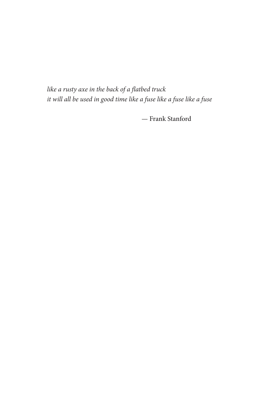like a rusty axe in the back of a flatbed truck it will all be used in good time like a fuse like a fuse like a fuse

— Frank Stanford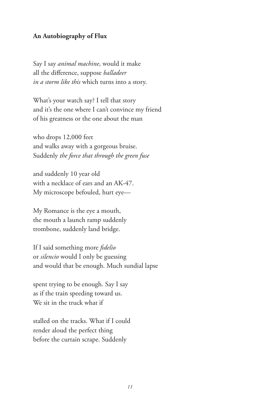#### **An Autobiography of Flux**

Say I say *animal machine*, would it make all the diference, suppose *balladeer in a storm like this* which turns into a story.

What's your watch say? I tell that story and it's the one where I can't convince my friend of his greatness or the one about the man

who drops 12,000 feet and walks away with a gorgeous bruise. Suddenly *the force that through the green fuse*

and suddenly 10 year old with a necklace of ears and an AK-47. My microscope befouled, hurt eye—

My Romance is the eye a mouth, the mouth a launch ramp suddenly trombone, suddenly land bridge.

If I said something more *fdelio* or *silencio* would I only be guessing and would that be enough. Much sundial lapse

spent trying to be enough. Say I say as if the train speeding toward us. We sit in the truck what if

stalled on the tracks. What if I could render aloud the perfect thing before the curtain scrape. Suddenly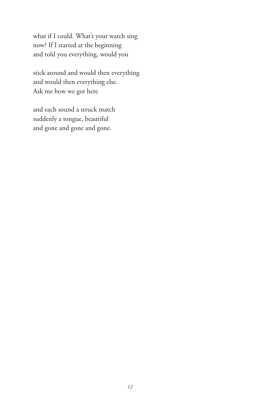what if I could. What's your watch sing now? If I started at the beginning and told you everything, would you

stick around and would then everything and would then everything else. Ask me how we got here

and each sound a struck match suddenly a tongue, beautiful and gone and gone and gone.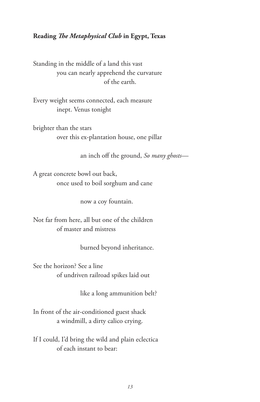#### **Reading** *Te Metaphysical Club* **in Egypt, Texas**

Standing in the middle of a land this vast you can nearly apprehend the curvature of the earth.

Every weight seems connected, each measure inept. Venus tonight

brighter than the stars over this ex-plantation house, one pillar

an inch off the ground, *So many ghosts*—

A great concrete bowl out back, once used to boil sorghum and cane

now a coy fountain.

Not far from here, all but one of the children of master and mistress

burned beyond inheritance.

See the horizon? See a line of undriven railroad spikes laid out

like a long ammunition belt?

In front of the air-conditioned guest shack a windmill, a dirty calico crying.

If I could, I'd bring the wild and plain eclectica of each instant to bear: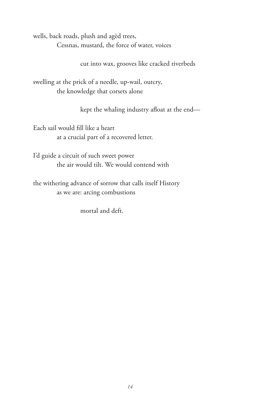wells, back roads, plush and agèd trees, Cessnas, mustard, the force of water, voices

cut into wax, grooves like cracked riverbeds

swelling at the prick of a needle, up-wail, outcry, the knowledge that corsets alone

kept the whaling industry afoat at the end—

Each sail would fll like a heart at a crucial part of a recovered letter.

I'd guide a circuit of such sweet power the air would tilt. We would contend with

the withering advance of sorrow that calls itself History as we are: arcing combustions

mortal and deft.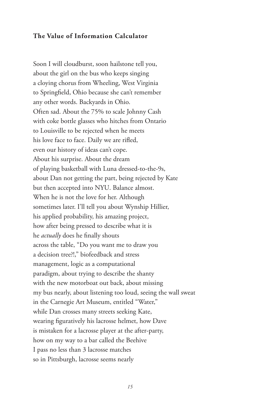## **The Value of Information Calculator**

Soon I will cloudburst, soon hailstone tell you, about the girl on the bus who keeps singing a cloying chorus from Wheeling, West Virginia to Springfeld, Ohio because she can't remember any other words. Backyards in Ohio. Often sad. About the 75% to scale Johnny Cash with coke bottle glasses who hitches from Ontario to Louisville to be rejected when he meets his love face to face. Daily we are rifed, even our history of ideas can't cope. About his surprise. About the dream of playing basketball with Luna dressed-to-the-9s, about Dan not getting the part, being rejected by Kate but then accepted into NYU. Balance almost. When he is not the love for her. Although sometimes later. I'll tell you about Wynship Hillier, his applied probability, his amazing project, how after being pressed to describe what it is he *actually* does he fnally shouts across the table, "Do you want me to draw you a decision tree?!," biofeedback and stress management, logic as a computational paradigm, about trying to describe the shanty with the new motorboat out back, about missing my bus nearly, about listening too loud, seeing the wall sweat in the Carnegie Art Museum, entitled "Water," while Dan crosses many streets seeking Kate, wearing fguratively his lacrosse helmet, how Dave is mistaken for a lacrosse player at the after-party, how on my way to a bar called the Beehive I pass no less than 3 lacrosse matches so in Pittsburgh, lacrosse seems nearly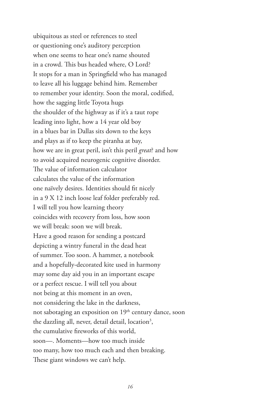ubiquitous as steel or references to steel or questioning one's auditory perception when one seems to hear one's name shouted in a crowd. This bus headed where, O Lord? It stops for a man in Springfeld who has managed to leave all his luggage behind him. Remember to remember your identity. Soon the moral, codifed, how the sagging little Toyota hugs the shoulder of the highway as if it's a taut rope leading into light, how a 14 year old boy in a blues bar in Dallas sits down to the keys and plays as if to keep the piranha at bay, how we are in great peril, isn't this peril *great*? and how to avoid acquired neurogenic cognitive disorder. The value of information calculator calculates the value of the information one naïvely desires. Identities should ft nicely in a 9 X 12 inch loose leaf folder preferably red. I will tell you how learning theory coincides with recovery from loss, how soon we will break: soon we will break. Have a good reason for sending a postcard depicting a wintry funeral in the dead heat of summer. Too soon. A hammer, a notebook and a hopefully-decorated kite used in harmony may some day aid you in an important escape or a perfect rescue. I will tell you about not being at this moment in an oven, not considering the lake in the darkness, not sabotaging an exposition on 19<sup>th</sup> century dance, soon the dazzling all, never, detail detail, location<sup>3</sup>, the cumulative freworks of this world, soon—. Moments—how too much inside too many, how too much each and then breaking. These giant windows we can't help.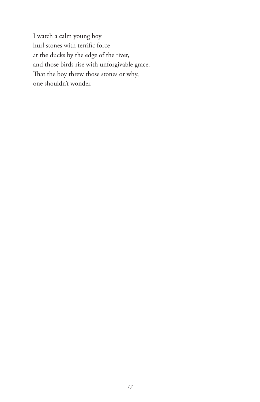I watch a calm young boy hurl stones with terrific force at the ducks by the edge of the river, and those birds rise with unforgivable grace. That the boy threw those stones or why, one shouldn't wonder.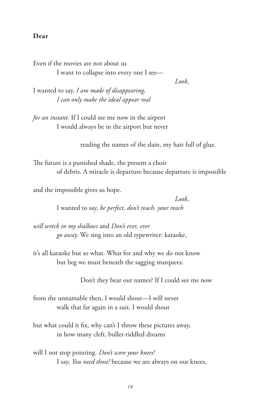#### **Dear**

Even if the movies are not about us I want to collapse into every one I see—

 *Look*,

I wanted to say, *I am made of disappearing, I can only make the ideal appear real*

*for an instant.* If I could see me now in the airport I would always be in the airport but never

reading the names of the slain, my hair full of glue.

The future is a punished shade, the present a choir of debris. A miracle is departure because departure is impossible

and the impossible gives us hope.

 *Look*, I wanted to say, *be perfect, don't reach, your reach*

*will wreck in my shallows* and *Don't ever, ever go away.* We sing into an old typewriter: karaoke,

it's all karaoke but so what. What for and why we do not know but beg we must beneath the sagging marquees:

Don't they bear our names? If I could see me now

from the unnamable then, I would shout—I will never walk that far again in a suit. I would shout

but what could it fx, why can't I throw these pictures away, in how many cleft, bullet-riddled dreams

will I not stop pointing. *Don't score your knees!* I say, *You need those!* because we are always on our knees,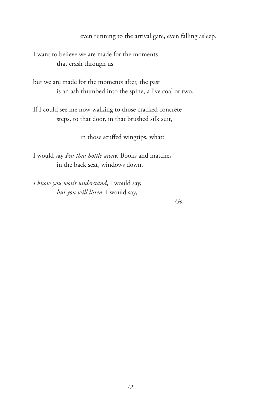even running to the arrival gate, even falling asleep.

I want to believe we are made for the moments that crash through us

but we are made for the moments after, the past is an ash thumbed into the spine, a live coal or two.

If I could see me now walking to those cracked concrete steps, to that door, in that brushed silk suit,

in those scufed wingtips, what?

I would say *Put that bottle away*. Books and matches in the back seat, windows down.

*I know you won't understand*, I would say, *but you will listen*. I would say,

 *Go.*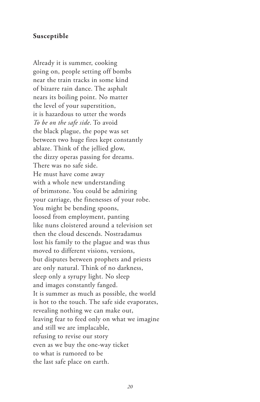#### **Susceptible**

Already it is summer, cooking going on, people setting off bombs near the train tracks in some kind of bizarre rain dance. The asphalt nears its boiling point. No matter the level of your superstition, it is hazardous to utter the words *To be on the safe side*. To avoid the black plague, the pope was set between two huge fires kept constantly ablaze. Think of the jellied glow, the dizzy operas passing for dreams. There was no safe side. He must have come away with a whole new understanding of brimstone. You could be admiring your carriage, the finenesses of your robe. You might be bending spoons, loosed from employment, panting like nuns cloistered around a television set then the cloud descends. Nostradamus lost his family to the plague and was thus moved to different visions, versions, but disputes between prophets and priests are only natural. Think of no darkness, sleep only a syrupy light. No sleep and images constantly fanged. It is summer as much as possible, the world is hot to the touch. The safe side evaporates, revealing nothing we can make out, leaving fear to feed only on what we imagine and still we are implacable, refusing to revise our story even as we buy the one-way ticket to what is rumored to be the last safe place on earth.